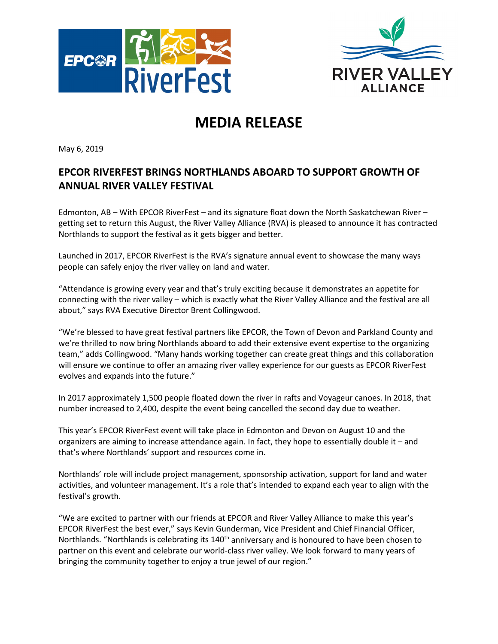



## **MEDIA RELEASE**

May 6, 2019

## **EPCOR RIVERFEST BRINGS NORTHLANDS ABOARD TO SUPPORT GROWTH OF ANNUAL RIVER VALLEY FESTIVAL**

Edmonton, AB – With EPCOR RiverFest – and its signature float down the North Saskatchewan River – getting set to return this August, the River Valley Alliance (RVA) is pleased to announce it has contracted Northlands to support the festival as it gets bigger and better.

Launched in 2017, EPCOR RiverFest is the RVA's signature annual event to showcase the many ways people can safely enjoy the river valley on land and water.

"Attendance is growing every year and that's truly exciting because it demonstrates an appetite for connecting with the river valley – which is exactly what the River Valley Alliance and the festival are all about," says RVA Executive Director Brent Collingwood.

"We're blessed to have great festival partners like EPCOR, the Town of Devon and Parkland County and we're thrilled to now bring Northlands aboard to add their extensive event expertise to the organizing team," adds Collingwood. "Many hands working together can create great things and this collaboration will ensure we continue to offer an amazing river valley experience for our guests as EPCOR RiverFest evolves and expands into the future."

In 2017 approximately 1,500 people floated down the river in rafts and Voyageur canoes. In 2018, that number increased to 2,400, despite the event being cancelled the second day due to weather.

This year's EPCOR RiverFest event will take place in Edmonton and Devon on August 10 and the organizers are aiming to increase attendance again. In fact, they hope to essentially double it – and that's where Northlands' support and resources come in.

Northlands' role will include project management, sponsorship activation, support for land and water activities, and volunteer management. It's a role that's intended to expand each year to align with the festival's growth.

"We are excited to partner with our friends at EPCOR and River Valley Alliance to make this year's EPCOR RiverFest the best ever," says Kevin Gunderman, Vice President and Chief Financial Officer, Northlands. "Northlands is celebrating its  $140<sup>th</sup>$  anniversary and is honoured to have been chosen to partner on this event and celebrate our world-class river valley. We look forward to many years of bringing the community together to enjoy a true jewel of our region."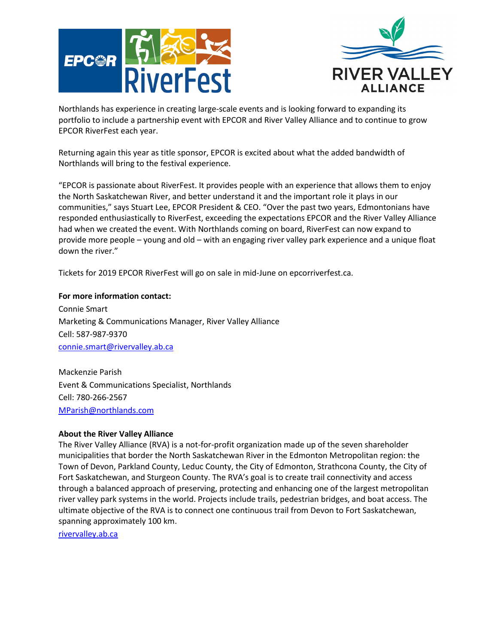



Northlands has experience in creating large-scale events and is looking forward to expanding its portfolio to include a partnership event with EPCOR and River Valley Alliance and to continue to grow EPCOR RiverFest each year.

Returning again this year as title sponsor, EPCOR is excited about what the added bandwidth of Northlands will bring to the festival experience.

"EPCOR is passionate about RiverFest. It provides people with an experience that allows them to enjoy the North Saskatchewan River, and better understand it and the important role it plays in our communities," says Stuart Lee, EPCOR President & CEO. "Over the past two years, Edmontonians have responded enthusiastically to RiverFest, exceeding the expectations EPCOR and the River Valley Alliance had when we created the event. With Northlands coming on board, RiverFest can now expand to provide more people – young and old – with an engaging river valley park experience and a unique float down the river."

Tickets for 2019 EPCOR RiverFest will go on sale in mid-June on epcorriverfest.ca.

**For more information contact:**  Connie Smart Marketing & Communications Manager, River Valley Alliance Cell: 587-987-9370 [connie.smart@rivervalley.ab.ca](mailto:connie.smart@rivervalley.ab.ca)

Mackenzie Parish Event & Communications Specialist, Northlands Cell: 780-266-2567 [MParish@northlands.com](mailto:MParish@northlands.com)

## **About the River Valley Alliance**

The River Valley Alliance (RVA) is a not-for-profit organization made up of the seven shareholder municipalities that border the North Saskatchewan River in the Edmonton Metropolitan region: the Town of Devon, Parkland County, Leduc County, the City of Edmonton, Strathcona County, the City of Fort Saskatchewan, and Sturgeon County. The RVA's goal is to create trail connectivity and access through a balanced approach of preserving, protecting and enhancing one of the largest metropolitan river valley park systems in the world. Projects include trails, pedestrian bridges, and boat access. The ultimate objective of the RVA is to connect one continuous trail from Devon to Fort Saskatchewan, spanning approximately 100 km.

rivervalley.ab.ca